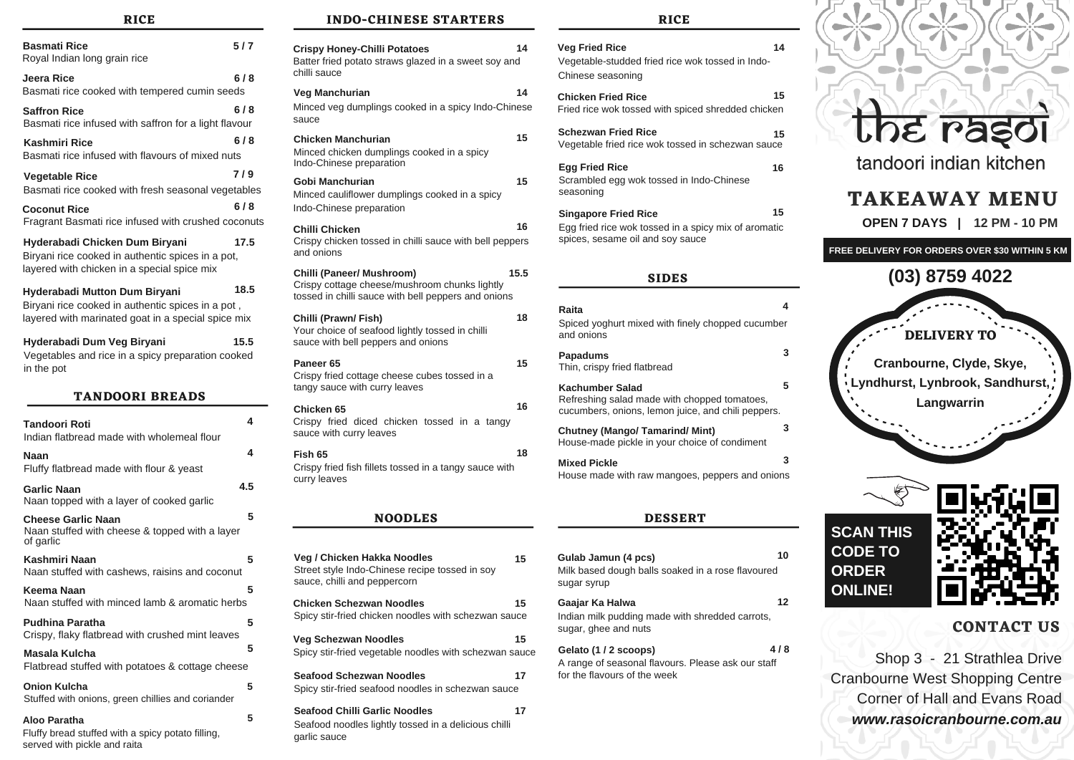## **RICE**

| <b>Basmati Rice</b><br>Royal Indian long grain rice                                                                                      | 517  |
|------------------------------------------------------------------------------------------------------------------------------------------|------|
| Jeera Rice<br>Basmati rice cooked with tempered cumin seeds                                                                              | 618  |
| <b>Saffron Rice</b><br>Basmati rice infused with saffron for a light flavour                                                             | 6/8  |
| <b>Kashmiri Rice</b><br>Basmati rice infused with flavours of mixed nuts                                                                 | 618  |
| <b>Vegetable Rice</b><br>Basmati rice cooked with fresh seasonal vegetables                                                              | 719  |
| Coconut Rice<br>Fragrant Basmati rice infused with crushed coconuts                                                                      | 618  |
| Hyderabadi Chicken Dum Biryani<br>Biryani rice cooked in authentic spices in a pot,<br>layered with chicken in a special spice mix       | 17.5 |
| Hyderabadi Mutton Dum Biryani<br>Biryani rice cooked in authentic spices in a pot,<br>layered with marinated goat in a special spice mix | 18.5 |
| Hyderabadi Dum Veg Biryani<br>Vegetables and rice in a spicy preparation cooked<br>in the pot                                            | 15.5 |
| <b>TANDOORI BREADS</b>                                                                                                                   |      |
| Tandoori Roti<br>Indian flatbread made with wholemeal flour                                                                              | 4    |
| Naan<br>Fluffy flatbread made with flour & yeast                                                                                         | 4    |
| <b>Garlic Naan</b><br>Naan topped with a layer of cooked garlic                                                                          | 4.5  |
| <b>Cheese Garlic Naan</b><br>Naan stuffed with cheese & topped with a layer<br>of garlic                                                 | 5    |
| Kashmiri Naan<br>Naan stuffed with cashews, raisins and coconut                                                                          | 5    |
| Keema Naan<br>Naan stuffed with minced lamb & aromatic herbs                                                                             | 5    |
| <b>Pudhina Paratha</b><br>Crispy, flaky flatbread with crushed mint leaves                                                               | 5    |
| Masala Kulcha<br>Flatbread stuffed with potatoes & cottage cheese                                                                        | 5    |
| <b>Onion Kulcha</b><br>Stuffed with onions, green chillies and coriander                                                                 | 5    |
| Aloo Paratha<br>Fluffy bread stuffed with a spicy potato filling,                                                                        | 5    |

served with pickle and raita

## **INDO-CHINESE STARTERS**

| 14<br><b>Crispy Honey-Chilli Potatoes</b><br>Batter fried potato straws glazed in a sweet soy and<br>chilli sauce                         |  |  |
|-------------------------------------------------------------------------------------------------------------------------------------------|--|--|
| Veg Manchurian<br>14<br>Minced veg dumplings cooked in a spicy Indo-Chinese<br>sauce                                                      |  |  |
| 15<br>Chicken Manchurian<br>Minced chicken dumplings cooked in a spicy<br>Indo-Chinese preparation                                        |  |  |
| Gobi Manchurian<br>15<br>Minced cauliflower dumplings cooked in a spicy<br>Indo-Chinese preparation                                       |  |  |
| 16<br>Chilli Chicken<br>Crispy chicken tossed in chilli sauce with bell peppers<br>and onions                                             |  |  |
| Chilli (Paneer/ Mushroom)<br>15.5<br>Crispy cottage cheese/mushroom chunks lightly<br>tossed in chilli sauce with bell peppers and onions |  |  |
| 18<br>Chilli (Prawn/Fish)<br>Your choice of seafood lightly tossed in chilli<br>sauce with bell peppers and onions                        |  |  |
| Paneer <sub>65</sub><br>15<br>Crispy fried cottage cheese cubes tossed in a<br>tangy sauce with curry leaves                              |  |  |
| 16<br><b>Chicken 65</b><br>Crispy fried diced chicken tossed in a tangy<br>sauce with curry leaves                                        |  |  |
| 18<br>Fish 65<br>Crispy fried fish fillets tossed in a tangy sauce with<br>curry leaves                                                   |  |  |
| <b>NOODLES</b>                                                                                                                            |  |  |
| Veg / Chicken Hakka Noodles<br>15<br>Street style Indo-Chinese recipe tossed in soy<br>sauce, chilli and peppercorn                       |  |  |

Spicy stir-fried chicken noodles with schezwan sauce

Spicy stir-fried vegetable noodles with schezwan sauce **Veg Schezwan Noodles 15**

Spicy stir-fried seafood noodles in schezwan sauce **Seafood Schezwan Noodles 17**

**Seafood Chilli Garlic Noodles 17**

Seafood noodles lightly tossed in a delicious chilli

garlic sauce

**SIDES DESSERT Chicken Schezwan Noodles 15** Egg fried rice wok tossed in a spicy mix of aromatic spices, sesame oil and soy sauce **Singapore Fried Rice 15** Spiced yoghurt mixed with finely chopped cucumber and onions **Raita 4** Thin, crispy fried flatbread **Papadums 3** Refreshing salad made with chopped tomatoes, cucumbers, onions, lemon juice, and chili peppers. **Kachumber Salad 5** House-made pickle in your choice of condiment **Chutney (Mango/ Tamarind/ Mint) 3** House made with raw mangoes, peppers and onions **Mixed Pickle 3** Milk based dough balls soaked in a rose flavoured sugar syrup **Gulab Jamun (4 pcs) 10**

Indian milk pudding made with shredded carrots, sugar, ghee and nuts **Gaajar Ka Halwa 12**

Vegetable-studded fried rice wok tossed in Indo-

**Veg Fried Rice 14**

**RICE**

Fried rice wok tossed with spiced shredded chicken **Chicken Fried Rice 15**

Vegetable fried rice wok tossed in schezwan sauce **Schezwan Fried Rice 15**

**Egg Fried Rice 16**

Scrambled egg wok tossed in Indo-Chinese

Chinese seasoning

seasoning

A range of seasonal flavours. Please ask our staff for the flavours of the week **Gelato (1 / 2 scoops) 4 / 8**

| <b>Lhe ragol</b>                                    |
|-----------------------------------------------------|
| tandoori indian kitchen                             |
| <b>TAKEAWAY MENU</b><br>OPEN 7 DAYS   12 PM - 10 PM |
| FREE DELIVERY FOR ORDERS OVER \$30 WITHIN 5 KM      |
| (03) 8759 4022                                      |

 $\overline{\phantom{a}}$ 

**DELIVERY TO Cranbourne, Clyde, Skye, Lyndhurst, Lynbrook, Sandhurst, Langwarrin**

**SCAN THIS CODE TO ORDER ONLINE!**



## **CONTACT US**

Shop 3 - 21 Strathlea Drive Cranbourne West Shopping Centre Corner of Hall and Evans Road *www.rasoicranbourne.com.au*